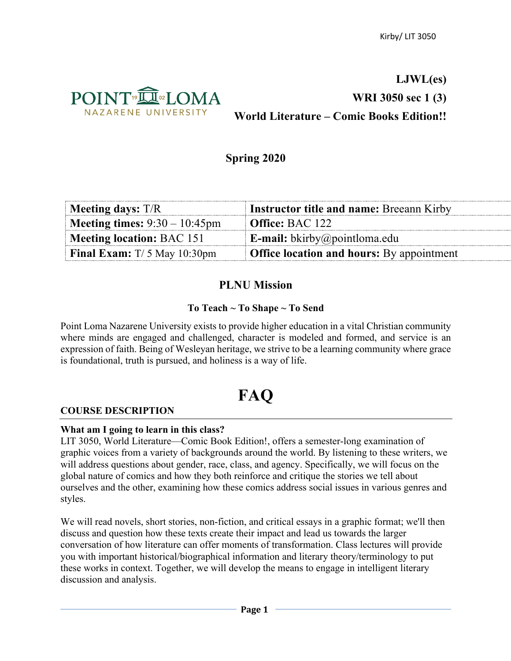

## **LJWL(es) WRI 3050 sec 1 (3) World Literature – Comic Books Edition!!**

## **Spring 2020**

| $M$ eeting days: T/R                    | <b>Instructor title and name: Breeann Kirby</b>  |
|-----------------------------------------|--------------------------------------------------|
| <b>Meeting times:</b> $9:30 - 10:45$ pm | $\blacksquare$ Office: BAC 122                   |
| Meeting location: BAC 151               | <b>E-mail:</b> bkirby@pointloma.edu              |
| <b>Final Exam:</b> $T/5$ May 10:30pm    | <b>Office location and hours:</b> By appointment |

## **PLNU Mission**

## **To Teach ~ To Shape ~ To Send**

Point Loma Nazarene University exists to provide higher education in a vital Christian community where minds are engaged and challenged, character is modeled and formed, and service is an expression of faith. Being of Wesleyan heritage, we strive to be a learning community where grace is foundational, truth is pursued, and holiness is a way of life.

# **FAQ**

#### **COURSE DESCRIPTION**

#### **What am I going to learn in this class?**

LIT 3050, World Literature—Comic Book Edition!, offers a semester-long examination of graphic voices from a variety of backgrounds around the world. By listening to these writers, we will address questions about gender, race, class, and agency. Specifically, we will focus on the global nature of comics and how they both reinforce and critique the stories we tell about ourselves and the other, examining how these comics address social issues in various genres and styles.

We will read novels, short stories, non-fiction, and critical essays in a graphic format; we'll then discuss and question how these texts create their impact and lead us towards the larger conversation of how literature can offer moments of transformation. Class lectures will provide you with important historical/biographical information and literary theory/terminology to put these works in context. Together, we will develop the means to engage in intelligent literary discussion and analysis.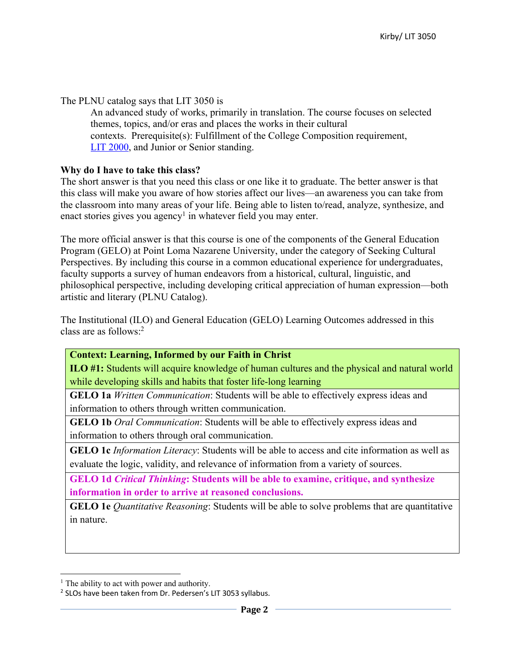The PLNU catalog says that LIT 3050 is

An advanced study of works, primarily in translation. The course focuses on selected themes, topics, and/or eras and places the works in their cultural contexts. Prerequisite(s): Fulfillment of the College Composition requirement, LIT 2000, and Junior or Senior standing.

#### **Why do I have to take this class?**

The short answer is that you need this class or one like it to graduate. The better answer is that this class will make you aware of how stories affect our lives—an awareness you can take from the classroom into many areas of your life. Being able to listen to/read, analyze, synthesize, and enact stories gives you agency<sup>1</sup> in whatever field you may enter.

The more official answer is that this course is one of the components of the General Education Program (GELO) at Point Loma Nazarene University, under the category of Seeking Cultural Perspectives. By including this course in a common educational experience for undergraduates, faculty supports a survey of human endeavors from a historical, cultural, linguistic, and philosophical perspective, including developing critical appreciation of human expression—both artistic and literary (PLNU Catalog).

The Institutional (ILO) and General Education (GELO) Learning Outcomes addressed in this class are as follows:2

#### **Context: Learning, Informed by our Faith in Christ**

**ILO #1:** Students will acquire knowledge of human cultures and the physical and natural world while developing skills and habits that foster life-long learning

**GELO 1a** *Written Communication*: Students will be able to effectively express ideas and information to others through written communication.

**GELO 1b** *Oral Communication*: Students will be able to effectively express ideas and information to others through oral communication.

**GELO 1c** *Information Literacy*: Students will be able to access and cite information as well as evaluate the logic, validity, and relevance of information from a variety of sources.

**GELO 1d** *Critical Thinking***: Students will be able to examine, critique, and synthesize information in order to arrive at reasoned conclusions.**

**GELO 1e** *Quantitative Reasoning*: Students will be able to solve problems that are quantitative in nature.

 $<sup>1</sup>$  The ability to act with power and authority.</sup>

<sup>2</sup> SLOs have been taken from Dr. Pedersen's LIT 3053 syllabus.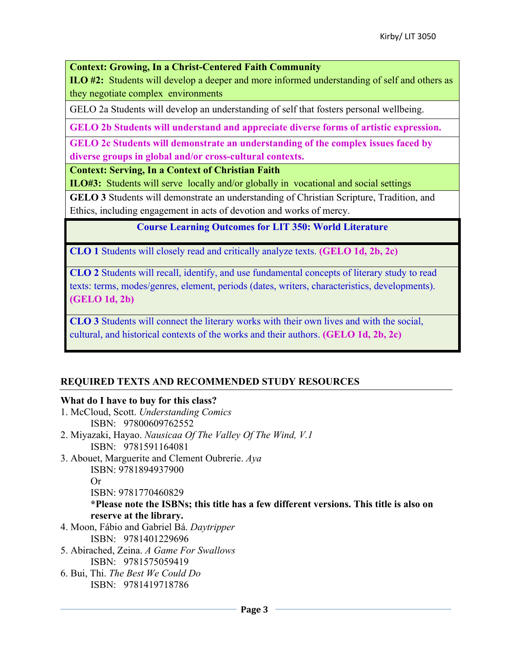**Context: Growing, In a Christ-Centered Faith Community**

**ILO #2:** Students will develop a deeper and more informed understanding of self and others as they negotiate complex environments

GELO 2a Students will develop an understanding of self that fosters personal wellbeing.

**GELO 2b Students will understand and appreciate diverse forms of artistic expression.** 

**GELO 2c Students will demonstrate an understanding of the complex issues faced by diverse groups in global and/or cross-cultural contexts.** 

**Context: Serving, In a Context of Christian Faith**

**ILO#3:** Students will serve locally and/or globally in vocational and social settings

**GELO 3** Students will demonstrate an understanding of Christian Scripture, Tradition, and Ethics, including engagement in acts of devotion and works of mercy.

**Course Learning Outcomes for LIT 350: World Literature**

**CLO 1** Students will closely read and critically analyze texts. **(GELO 1d, 2b, 2c)**

**CLO 2** Students will recall, identify, and use fundamental concepts of literary study to read texts: terms, modes/genres, element, periods (dates, writers, characteristics, developments). **(GELO 1d, 2b)**

**CLO 3** Students will connect the literary works with their own lives and with the social, cultural, and historical contexts of the works and their authors. **(GELO 1d, 2b, 2c)**

## **REQUIRED TEXTS AND RECOMMENDED STUDY RESOURCES**

#### **What do I have to buy for this class?**

- 1. McCloud, Scott. *Understanding Comics* ISBN: 97800609762552
- 2. Miyazaki, Hayao. *Nausicaa Of The Valley Of The Wind, V.1* ISBN: 9781591164081
- 3. Abouet, Marguerite and Clement Oubrerie. *Aya* ISBN: 9781894937900 Or

ISBN: 9781770460829

**\*Please note the ISBNs; this title has a few different versions. This title is also on reserve at the library.**

- 4. Moon, Fábio and Gabriel Bá. *Daytripper* ISBN: 9781401229696
- 5. Abirached, Zeina. *A Game For Swallows* ISBN: 9781575059419
- 6. Bui, Thi. *The Best We Could Do* ISBN: 9781419718786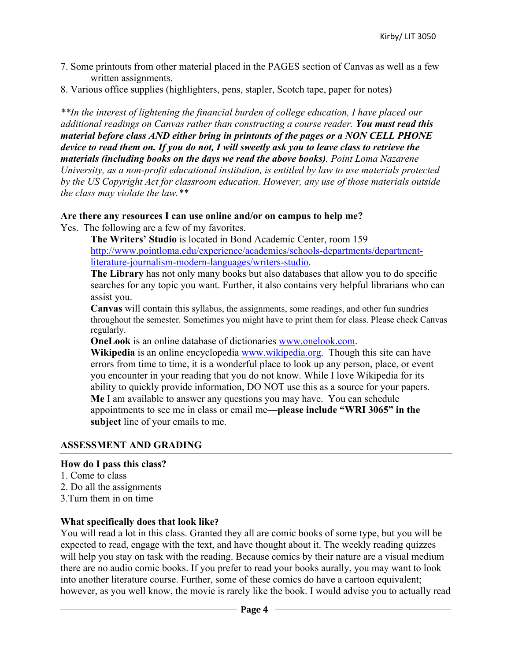- 7. Some printouts from other material placed in the PAGES section of Canvas as well as a few written assignments.
- 8. Various office supplies (highlighters, pens, stapler, Scotch tape, paper for notes)

*\*\*In the interest of lightening the financial burden of college education, I have placed our additional readings on Canvas rather than constructing a course reader. You must read this material before class AND either bring in printouts of the pages or a NON CELL PHONE device to read them on. If you do not, I will sweetly ask you to leave class to retrieve the materials (including books on the days we read the above books). Point Loma Nazarene University, as a non-profit educational institution, is entitled by law to use materials protected by the US Copyright Act for classroom education. However, any use of those materials outside the class may violate the law.\*\**

#### **Are there any resources I can use online and/or on campus to help me?**

Yes. The following are a few of my favorites.

**The Writers' Studio** is located in Bond Academic Center, room 159 http://www.pointloma.edu/experience/academics/schools-departments/departmentliterature-journalism-modern-languages/writers-studio.

**The Library** has not only many books but also databases that allow you to do specific searches for any topic you want. Further, it also contains very helpful librarians who can assist you.

**Canvas** will contain this syllabus, the assignments, some readings, and other fun sundries throughout the semester. Sometimes you might have to print them for class. Please check Canvas regularly.

**OneLook** is an online database of dictionaries www.onelook.com.

**Wikipedia** is an online encyclopedia www.wikipedia.org. Though this site can have errors from time to time, it is a wonderful place to look up any person, place, or event you encounter in your reading that you do not know. While I love Wikipedia for its ability to quickly provide information, DO NOT use this as a source for your papers. **Me** I am available to answer any questions you may have. You can schedule appointments to see me in class or email me—**please include "WRI 3065" in the subject** line of your emails to me.

#### **ASSESSMENT AND GRADING**

#### **How do I pass this class?**

- 1. Come to class
- 2. Do all the assignments
- 3.Turn them in on time

#### **What specifically does that look like?**

You will read a lot in this class. Granted they all are comic books of some type, but you will be expected to read, engage with the text, and have thought about it. The weekly reading quizzes will help you stay on task with the reading. Because comics by their nature are a visual medium there are no audio comic books. If you prefer to read your books aurally, you may want to look into another literature course. Further, some of these comics do have a cartoon equivalent; however, as you well know, the movie is rarely like the book. I would advise you to actually read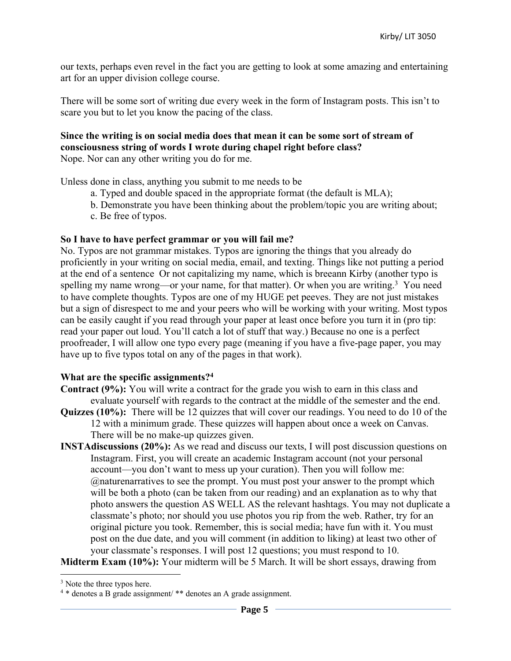our texts, perhaps even revel in the fact you are getting to look at some amazing and entertaining art for an upper division college course.

There will be some sort of writing due every week in the form of Instagram posts. This isn't to scare you but to let you know the pacing of the class.

## **Since the writing is on social media does that mean it can be some sort of stream of consciousness string of words I wrote during chapel right before class?**

Nope. Nor can any other writing you do for me.

Unless done in class, anything you submit to me needs to be

- a. Typed and double spaced in the appropriate format (the default is MLA);
- b. Demonstrate you have been thinking about the problem/topic you are writing about;
- c. Be free of typos.

#### **So I have to have perfect grammar or you will fail me?**

No. Typos are not grammar mistakes. Typos are ignoring the things that you already do proficiently in your writing on social media, email, and texting. Things like not putting a period at the end of a sentence Or not capitalizing my name, which is breeann Kirby (another typo is spelling my name wrong—or your name, for that matter). Or when you are writing.<sup>3</sup> You need to have complete thoughts. Typos are one of my HUGE pet peeves. They are not just mistakes but a sign of disrespect to me and your peers who will be working with your writing. Most typos can be easily caught if you read through your paper at least once before you turn it in (pro tip: read your paper out loud. You'll catch a lot of stuff that way.) Because no one is a perfect proofreader, I will allow one typo every page (meaning if you have a five-page paper, you may have up to five typos total on any of the pages in that work).

#### **What are the specific assignments?4**

- **Contract (9%):** You will write a contract for the grade you wish to earn in this class and evaluate yourself with regards to the contract at the middle of the semester and the end.
- **Quizzes (10%):** There will be 12 quizzes that will cover our readings. You need to do 10 of the 12 with a minimum grade. These quizzes will happen about once a week on Canvas. There will be no make-up quizzes given.
- **INSTAdiscussions (20%):** As we read and discuss our texts, I will post discussion questions on Instagram. First, you will create an academic Instagram account (not your personal account—you don't want to mess up your curation). Then you will follow me: @naturenarratives to see the prompt. You must post your answer to the prompt which will be both a photo (can be taken from our reading) and an explanation as to why that photo answers the question AS WELL AS the relevant hashtags. You may not duplicate a classmate's photo; nor should you use photos you rip from the web. Rather, try for an original picture you took. Remember, this is social media; have fun with it. You must post on the due date, and you will comment (in addition to liking) at least two other of your classmate's responses. I will post 12 questions; you must respond to 10.

**Midterm Exam (10%):** Your midterm will be 5 March. It will be short essays, drawing from

<sup>&</sup>lt;sup>3</sup> Note the three typos here.

<sup>4</sup> \* denotes a B grade assignment/ \*\* denotes an A grade assignment.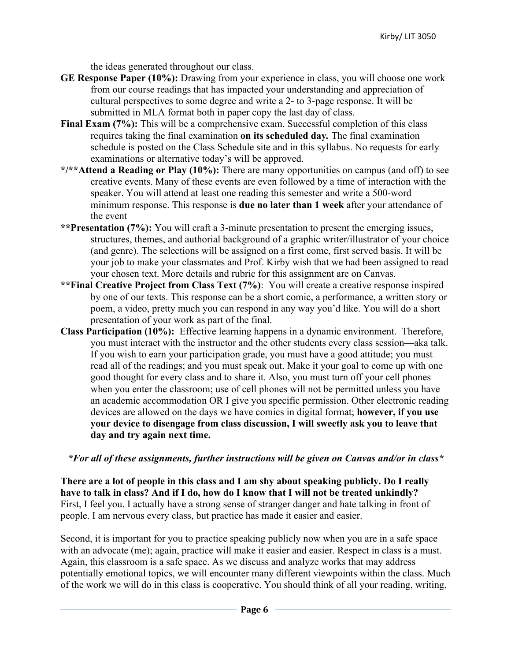the ideas generated throughout our class.

- **GE Response Paper (10%):** Drawing from your experience in class, you will choose one work from our course readings that has impacted your understanding and appreciation of cultural perspectives to some degree and write a 2- to 3-page response. It will be submitted in MLA format both in paper copy the last day of class.
- **Final Exam (7%):** This will be a comprehensive exam. Successful completion of this class requires taking the final examination **on its scheduled day***.* The final examination schedule is posted on the Class Schedule site and in this syllabus. No requests for early examinations or alternative today's will be approved.
- **\*/\*\*Attend a Reading or Play (10%):** There are many opportunities on campus (and off) to see creative events. Many of these events are even followed by a time of interaction with the speaker. You will attend at least one reading this semester and write a 500-word minimum response. This response is **due no later than 1 week** after your attendance of the event
- **\*\*Presentation (7%):** You will craft a 3-minute presentation to present the emerging issues, structures, themes, and authorial background of a graphic writer/illustrator of your choice (and genre). The selections will be assigned on a first come, first served basis. It will be your job to make your classmates and Prof. Kirby wish that we had been assigned to read your chosen text. More details and rubric for this assignment are on Canvas.
- **\*\*Final Creative Project from Class Text (7%)**: You will create a creative response inspired by one of our texts. This response can be a short comic, a performance, a written story or poem, a video, pretty much you can respond in any way you'd like. You will do a short presentation of your work as part of the final.
- **Class Participation (10%):** Effective learning happens in a dynamic environment. Therefore, you must interact with the instructor and the other students every class session—aka talk. If you wish to earn your participation grade, you must have a good attitude; you must read all of the readings; and you must speak out. Make it your goal to come up with one good thought for every class and to share it. Also, you must turn off your cell phones when you enter the classroom; use of cell phones will not be permitted unless you have an academic accommodation OR I give you specific permission. Other electronic reading devices are allowed on the days we have comics in digital format; **however, if you use your device to disengage from class discussion, I will sweetly ask you to leave that day and try again next time.**

#### *\*For all of these assignments, further instructions will be given on Canvas and/or in class\**

**There are a lot of people in this class and I am shy about speaking publicly. Do I really have to talk in class? And if I do, how do I know that I will not be treated unkindly?** First, I feel you. I actually have a strong sense of stranger danger and hate talking in front of people. I am nervous every class, but practice has made it easier and easier.

Second, it is important for you to practice speaking publicly now when you are in a safe space with an advocate (me); again, practice will make it easier and easier. Respect in class is a must. Again, this classroom is a safe space. As we discuss and analyze works that may address potentially emotional topics, we will encounter many different viewpoints within the class. Much of the work we will do in this class is cooperative. You should think of all your reading, writing,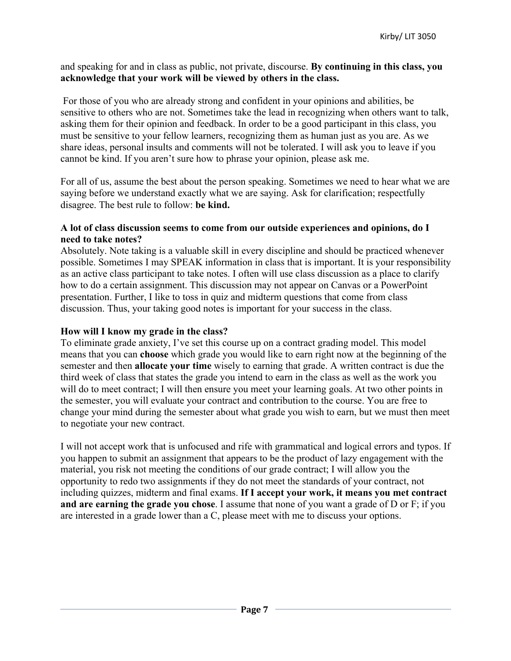#### and speaking for and in class as public, not private, discourse. **By continuing in this class, you acknowledge that your work will be viewed by others in the class.**

For those of you who are already strong and confident in your opinions and abilities, be sensitive to others who are not. Sometimes take the lead in recognizing when others want to talk, asking them for their opinion and feedback. In order to be a good participant in this class, you must be sensitive to your fellow learners, recognizing them as human just as you are. As we share ideas, personal insults and comments will not be tolerated. I will ask you to leave if you cannot be kind. If you aren't sure how to phrase your opinion, please ask me.

For all of us, assume the best about the person speaking. Sometimes we need to hear what we are saying before we understand exactly what we are saying. Ask for clarification; respectfully disagree. The best rule to follow: **be kind.**

#### **A lot of class discussion seems to come from our outside experiences and opinions, do I need to take notes?**

Absolutely. Note taking is a valuable skill in every discipline and should be practiced whenever possible. Sometimes I may SPEAK information in class that is important. It is your responsibility as an active class participant to take notes. I often will use class discussion as a place to clarify how to do a certain assignment. This discussion may not appear on Canvas or a PowerPoint presentation. Further, I like to toss in quiz and midterm questions that come from class discussion. Thus, your taking good notes is important for your success in the class.

#### **How will I know my grade in the class?**

To eliminate grade anxiety, I've set this course up on a contract grading model. This model means that you can **choose** which grade you would like to earn right now at the beginning of the semester and then **allocate your time** wisely to earning that grade. A written contract is due the third week of class that states the grade you intend to earn in the class as well as the work you will do to meet contract; I will then ensure you meet your learning goals. At two other points in the semester, you will evaluate your contract and contribution to the course. You are free to change your mind during the semester about what grade you wish to earn, but we must then meet to negotiate your new contract.

I will not accept work that is unfocused and rife with grammatical and logical errors and typos. If you happen to submit an assignment that appears to be the product of lazy engagement with the material, you risk not meeting the conditions of our grade contract; I will allow you the opportunity to redo two assignments if they do not meet the standards of your contract, not including quizzes, midterm and final exams. **If I accept your work, it means you met contract and are earning the grade you chose**. I assume that none of you want a grade of D or F; if you are interested in a grade lower than a C, please meet with me to discuss your options.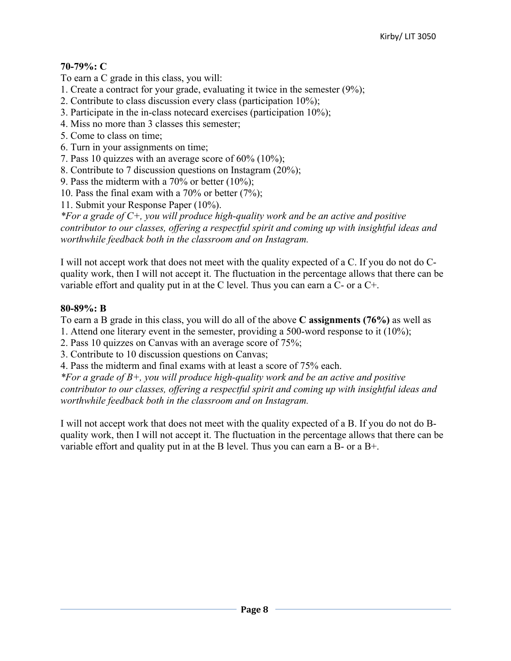## **70-79%: C**

To earn a C grade in this class, you will:

- 1. Create a contract for your grade, evaluating it twice in the semester (9%);
- 2. Contribute to class discussion every class (participation 10%);
- 3. Participate in the in-class notecard exercises (participation 10%);
- 4. Miss no more than 3 classes this semester;
- 5. Come to class on time;
- 6. Turn in your assignments on time;
- 7. Pass 10 quizzes with an average score of 60% (10%);
- 8. Contribute to 7 discussion questions on Instagram (20%);
- 9. Pass the midterm with a 70% or better (10%);
- 10. Pass the final exam with a 70% or better (7%);

11. Submit your Response Paper (10%).

*\*For a grade of C+, you will produce high-quality work and be an active and positive contributor to our classes, offering a respectful spirit and coming up with insightful ideas and worthwhile feedback both in the classroom and on Instagram.*

I will not accept work that does not meet with the quality expected of a C. If you do not do Cquality work, then I will not accept it. The fluctuation in the percentage allows that there can be variable effort and quality put in at the C level. Thus you can earn a C- or a C+.

#### **80-89%: B**

To earn a B grade in this class, you will do all of the above **C assignments (76%)** as well as

- 1. Attend one literary event in the semester, providing a 500-word response to it (10%);
- 2. Pass 10 quizzes on Canvas with an average score of 75%;
- 3. Contribute to 10 discussion questions on Canvas;
- 4. Pass the midterm and final exams with at least a score of 75% each.

*\*For a grade of B+, you will produce high-quality work and be an active and positive contributor to our classes, offering a respectful spirit and coming up with insightful ideas and worthwhile feedback both in the classroom and on Instagram.*

I will not accept work that does not meet with the quality expected of a B. If you do not do Bquality work, then I will not accept it. The fluctuation in the percentage allows that there can be variable effort and quality put in at the B level. Thus you can earn a B- or a B+.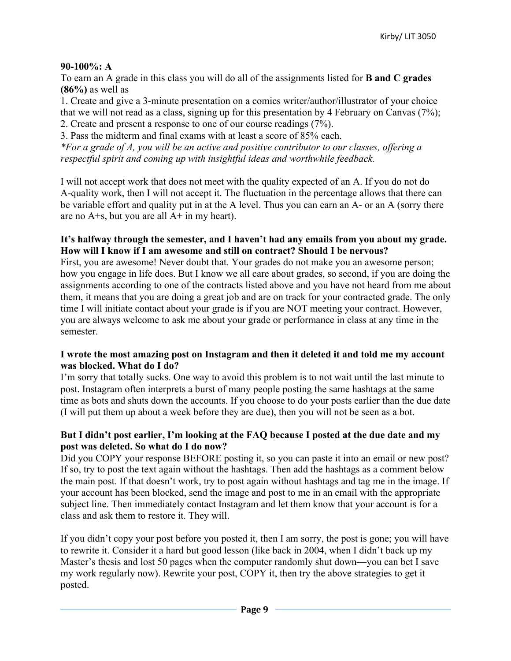#### **90-100%: A**

To earn an A grade in this class you will do all of the assignments listed for **B and C grades (86%)** as well as

1. Create and give a 3-minute presentation on a comics writer/author/illustrator of your choice that we will not read as a class, signing up for this presentation by 4 February on Canvas (7%); 2. Create and present a response to one of our course readings (7%).

3. Pass the midterm and final exams with at least a score of 85% each. *\*For a grade of A, you will be an active and positive contributor to our classes, offering a respectful spirit and coming up with insightful ideas and worthwhile feedback.*

I will not accept work that does not meet with the quality expected of an A. If you do not do A-quality work, then I will not accept it. The fluctuation in the percentage allows that there can be variable effort and quality put in at the A level. Thus you can earn an A- or an A (sorry there are no  $A + s$ , but you are all  $A + in$  my heart).

#### **It's halfway through the semester, and I haven't had any emails from you about my grade. How will I know if I am awesome and still on contract? Should I be nervous?**

First, you are awesome! Never doubt that. Your grades do not make you an awesome person; how you engage in life does. But I know we all care about grades, so second, if you are doing the assignments according to one of the contracts listed above and you have not heard from me about them, it means that you are doing a great job and are on track for your contracted grade. The only time I will initiate contact about your grade is if you are NOT meeting your contract. However, you are always welcome to ask me about your grade or performance in class at any time in the semester.

#### **I wrote the most amazing post on Instagram and then it deleted it and told me my account was blocked. What do I do?**

I'm sorry that totally sucks. One way to avoid this problem is to not wait until the last minute to post. Instagram often interprets a burst of many people posting the same hashtags at the same time as bots and shuts down the accounts. If you choose to do your posts earlier than the due date (I will put them up about a week before they are due), then you will not be seen as a bot.

#### **But I didn't post earlier, I'm looking at the FAQ because I posted at the due date and my post was deleted. So what do I do now?**

Did you COPY your response BEFORE posting it, so you can paste it into an email or new post? If so, try to post the text again without the hashtags. Then add the hashtags as a comment below the main post. If that doesn't work, try to post again without hashtags and tag me in the image. If your account has been blocked, send the image and post to me in an email with the appropriate subject line. Then immediately contact Instagram and let them know that your account is for a class and ask them to restore it. They will.

If you didn't copy your post before you posted it, then I am sorry, the post is gone; you will have to rewrite it. Consider it a hard but good lesson (like back in 2004, when I didn't back up my Master's thesis and lost 50 pages when the computer randomly shut down—you can bet I save my work regularly now). Rewrite your post, COPY it, then try the above strategies to get it posted.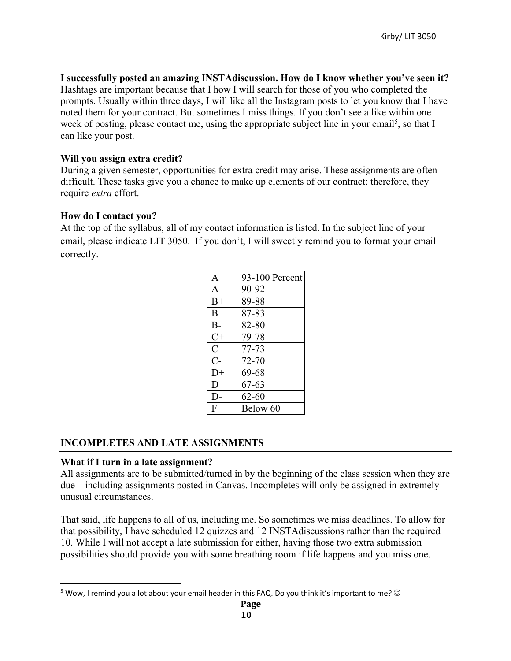**I successfully posted an amazing INSTAdiscussion. How do I know whether you've seen it?** Hashtags are important because that I how I will search for those of you who completed the prompts. Usually within three days, I will like all the Instagram posts to let you know that I have noted them for your contract. But sometimes I miss things. If you don't see a like within one week of posting, please contact me, using the appropriate subject line in your email<sup>5</sup>, so that I can like your post.

#### **Will you assign extra credit?**

During a given semester, opportunities for extra credit may arise. These assignments are often difficult. These tasks give you a chance to make up elements of our contract; therefore, they require *extra* effort.

#### **How do I contact you?**

At the top of the syllabus, all of my contact information is listed. In the subject line of your email, please indicate LIT 3050. If you don't, I will sweetly remind you to format your email correctly.

| A             | 93-100 Percent |
|---------------|----------------|
| $A -$         | 90-92          |
| $B+$          | 89-88          |
| R             | 87-83          |
| $B -$         | 82-80          |
| $C+$          | 79-78          |
| $\mathcal{C}$ | $77 - 73$      |
| $C-$          | 72-70          |
| $D+$          | 69-68          |
| D             | 67-63          |
| $D-$          | $62 - 60$      |
| F             | Below 60       |

#### **INCOMPLETES AND LATE ASSIGNMENTS**

#### **What if I turn in a late assignment?**

All assignments are to be submitted/turned in by the beginning of the class session when they are due—including assignments posted in Canvas. Incompletes will only be assigned in extremely unusual circumstances.

That said, life happens to all of us, including me. So sometimes we miss deadlines. To allow for that possibility, I have scheduled 12 quizzes and 12 INSTAdiscussions rather than the required 10. While I will not accept a late submission for either, having those two extra submission possibilities should provide you with some breathing room if life happens and you miss one.

<sup>&</sup>lt;sup>5</sup> Wow, I remind you a lot about your email header in this FAQ. Do you think it's important to me?  $\odot$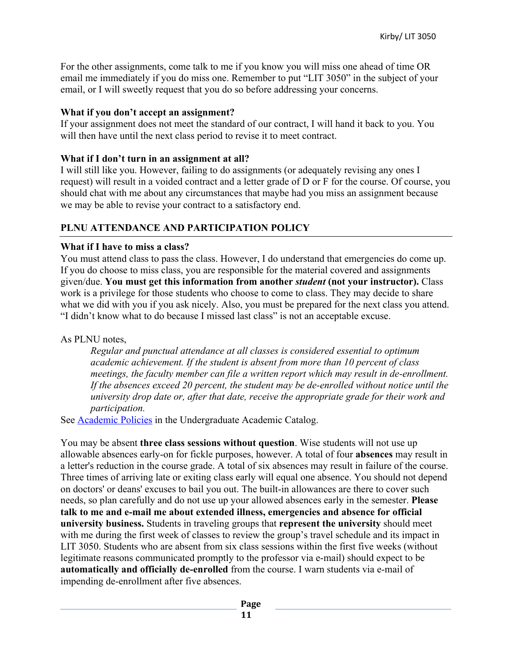For the other assignments, come talk to me if you know you will miss one ahead of time OR email me immediately if you do miss one. Remember to put "LIT 3050" in the subject of your email, or I will sweetly request that you do so before addressing your concerns.

#### **What if you don't accept an assignment?**

If your assignment does not meet the standard of our contract, I will hand it back to you. You will then have until the next class period to revise it to meet contract.

#### **What if I don't turn in an assignment at all?**

I will still like you. However, failing to do assignments (or adequately revising any ones I request) will result in a voided contract and a letter grade of D or F for the course. Of course, you should chat with me about any circumstances that maybe had you miss an assignment because we may be able to revise your contract to a satisfactory end.

#### **PLNU ATTENDANCE AND PARTICIPATION POLICY**

#### **What if I have to miss a class?**

You must attend class to pass the class. However, I do understand that emergencies do come up. If you do choose to miss class, you are responsible for the material covered and assignments given/due. **You must get this information from another** *student* **(not your instructor).** Class work is a privilege for those students who choose to come to class. They may decide to share what we did with you if you ask nicely. Also, you must be prepared for the next class you attend. "I didn't know what to do because I missed last class" is not an acceptable excuse.

#### As PLNU notes,

*Regular and punctual attendance at all classes is considered essential to optimum academic achievement. If the student is absent from more than 10 percent of class meetings, the faculty member can file a written report which may result in de-enrollment. If the absences exceed 20 percent, the student may be de-enrolled without notice until the university drop date or, after that date, receive the appropriate grade for their work and participation.* 

See Academic Policies in the Undergraduate Academic Catalog.

You may be absent **three class sessions without question**. Wise students will not use up allowable absences early-on for fickle purposes, however. A total of four **absences** may result in a letter's reduction in the course grade. A total of six absences may result in failure of the course. Three times of arriving late or exiting class early will equal one absence. You should not depend on doctors' or deans' excuses to bail you out. The built-in allowances are there to cover such needs, so plan carefully and do not use up your allowed absences early in the semester. **Please talk to me and e-mail me about extended illness, emergencies and absence for official university business.** Students in traveling groups that **represent the university** should meet with me during the first week of classes to review the group's travel schedule and its impact in LIT 3050. Students who are absent from six class sessions within the first five weeks (without legitimate reasons communicated promptly to the professor via e-mail) should expect to be **automatically and officially de-enrolled** from the course. I warn students via e-mail of impending de-enrollment after five absences.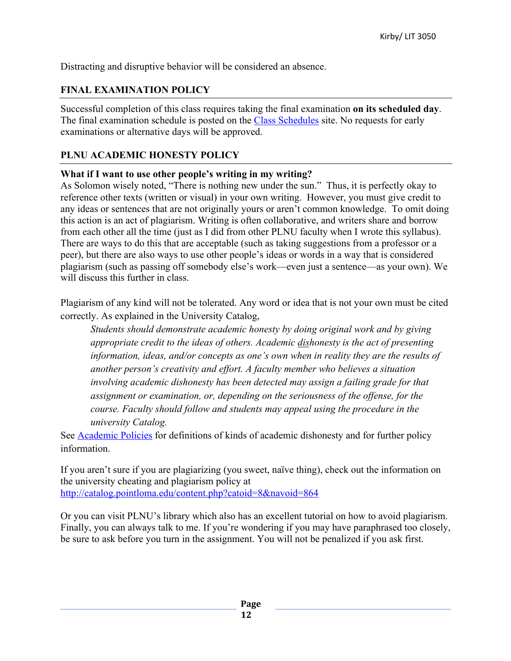Distracting and disruptive behavior will be considered an absence.

## **FINAL EXAMINATION POLICY**

Successful completion of this class requires taking the final examination **on its scheduled day**. The final examination schedule is posted on the Class Schedules site. No requests for early examinations or alternative days will be approved.

#### **PLNU ACADEMIC HONESTY POLICY**

#### **What if I want to use other people's writing in my writing?**

As Solomon wisely noted, "There is nothing new under the sun." Thus, it is perfectly okay to reference other texts (written or visual) in your own writing. However, you must give credit to any ideas or sentences that are not originally yours or aren't common knowledge. To omit doing this action is an act of plagiarism. Writing is often collaborative, and writers share and borrow from each other all the time (just as I did from other PLNU faculty when I wrote this syllabus). There are ways to do this that are acceptable (such as taking suggestions from a professor or a peer), but there are also ways to use other people's ideas or words in a way that is considered plagiarism (such as passing off somebody else's work—even just a sentence—as your own). We will discuss this further in class.

Plagiarism of any kind will not be tolerated. Any word or idea that is not your own must be cited correctly. As explained in the University Catalog,

*Students should demonstrate academic honesty by doing original work and by giving appropriate credit to the ideas of others. Academic dishonesty is the act of presenting information, ideas, and/or concepts as one's own when in reality they are the results of another person's creativity and effort. A faculty member who believes a situation involving academic dishonesty has been detected may assign a failing grade for that assignment or examination, or, depending on the seriousness of the offense, for the course. Faculty should follow and students may appeal using the procedure in the university Catalog.*

See **Academic Policies** for definitions of kinds of academic dishonesty and for further policy information.

If you aren't sure if you are plagiarizing (you sweet, naïve thing), check out the information on the university cheating and plagiarism policy at http://catalog.pointloma.edu/content.php?catoid=8&navoid=864

Or you can visit PLNU's library which also has an excellent tutorial on how to avoid plagiarism. Finally, you can always talk to me. If you're wondering if you may have paraphrased too closely, be sure to ask before you turn in the assignment. You will not be penalized if you ask first.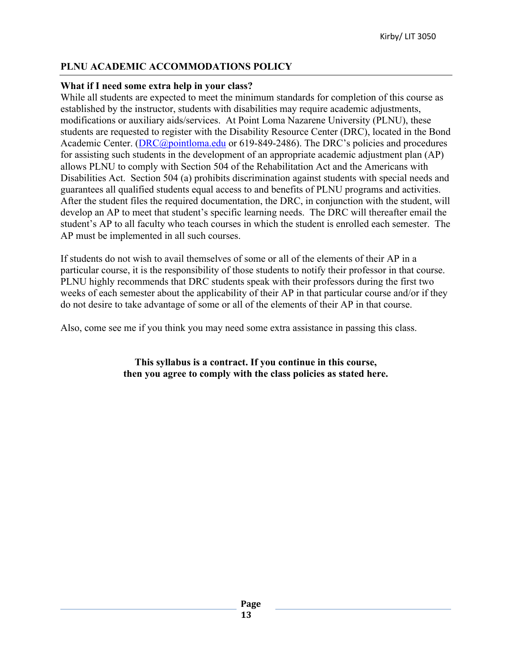#### **PLNU ACADEMIC ACCOMMODATIONS POLICY**

#### **What if I need some extra help in your class?**

While all students are expected to meet the minimum standards for completion of this course as established by the instructor, students with disabilities may require academic adjustments, modifications or auxiliary aids/services. At Point Loma Nazarene University (PLNU), these students are requested to register with the Disability Resource Center (DRC), located in the Bond Academic Center. (DRC@pointloma.edu or 619-849-2486). The DRC's policies and procedures for assisting such students in the development of an appropriate academic adjustment plan (AP) allows PLNU to comply with Section 504 of the Rehabilitation Act and the Americans with Disabilities Act. Section 504 (a) prohibits discrimination against students with special needs and guarantees all qualified students equal access to and benefits of PLNU programs and activities. After the student files the required documentation, the DRC, in conjunction with the student, will develop an AP to meet that student's specific learning needs. The DRC will thereafter email the student's AP to all faculty who teach courses in which the student is enrolled each semester. The AP must be implemented in all such courses.

If students do not wish to avail themselves of some or all of the elements of their AP in a particular course, it is the responsibility of those students to notify their professor in that course. PLNU highly recommends that DRC students speak with their professors during the first two weeks of each semester about the applicability of their AP in that particular course and/or if they do not desire to take advantage of some or all of the elements of their AP in that course.

Also, come see me if you think you may need some extra assistance in passing this class.

**This syllabus is a contract. If you continue in this course, then you agree to comply with the class policies as stated here.**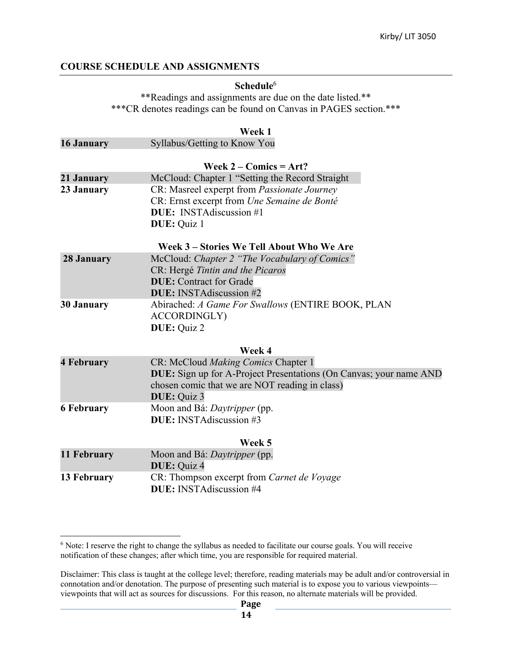#### **COURSE SCHEDULE AND ASSIGNMENTS**

#### **Schedule**<sup>6</sup>

\*\*Readings and assignments are due on the date listed.\*\* \*\*\*CR denotes readings can be found on Canvas in PAGES section.\*\*\*

|                   | Week 1                                                             |
|-------------------|--------------------------------------------------------------------|
| 16 January        | Syllabus/Getting to Know You                                       |
|                   | Week $2 -$ Comics = Art?                                           |
| 21 January        | McCloud: Chapter 1 "Setting the Record Straight                    |
| 23 January        | CR: Masreel experpt from Passionate Journey                        |
|                   | CR: Ernst excerpt from Une Semaine de Bonté                        |
|                   | <b>DUE:</b> INSTA discussion #1                                    |
|                   | <b>DUE</b> : Quiz 1                                                |
|                   | Week 3 - Stories We Tell About Who We Are                          |
| 28 January        | McCloud: Chapter 2 "The Vocabulary of Comics"                      |
|                   | CR: Hergé Tintin and the Picaros                                   |
|                   | <b>DUE:</b> Contract for Grade                                     |
|                   | <b>DUE:</b> INSTAdiscussion #2                                     |
| <b>30 January</b> | Abirached: A Game For Swallows (ENTIRE BOOK, PLAN                  |
|                   | <b>ACCORDINGLY)</b>                                                |
|                   | DUE: Quiz 2                                                        |
|                   | Week 4                                                             |
| <b>4 February</b> | CR: McCloud Making Comics Chapter 1                                |
|                   | DUE: Sign up for A-Project Presentations (On Canvas; your name AND |
|                   | chosen comic that we are NOT reading in class)                     |
|                   | DUE: Quiz 3                                                        |
| <b>6 February</b> | Moon and Bá: Daytripper (pp.                                       |
|                   | <b>DUE:</b> INSTAdiscussion #3                                     |
|                   | Week 5                                                             |
| 11 February       | Moon and Bá: <i>Daytripper</i> (pp.                                |
|                   | DUE: Quiz 4                                                        |
| 13 February       | CR: Thompson excerpt from Carnet de Voyage                         |
|                   | <b>DUE:</b> INSTAdiscussion #4                                     |
|                   |                                                                    |

<sup>6</sup> Note: I reserve the right to change the syllabus as needed to facilitate our course goals. You will receive notification of these changes; after which time, you are responsible for required material.

Disclaimer: This class is taught at the college level; therefore, reading materials may be adult and/or controversial in connotation and/or denotation. The purpose of presenting such material is to expose you to various viewpoints viewpoints that will act as sources for discussions. For this reason, no alternate materials will be provided.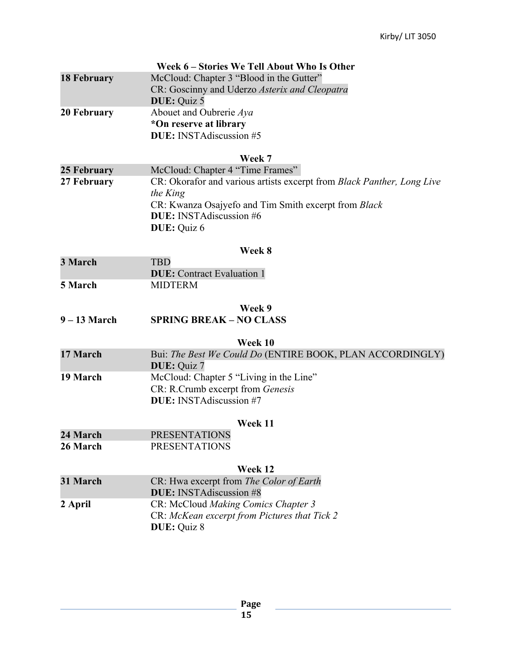|                    | Week 6 – Stories We Tell About Who Is Other                              |
|--------------------|--------------------------------------------------------------------------|
| <b>18 February</b> | McCloud: Chapter 3 "Blood in the Gutter"                                 |
|                    | CR: Goscinny and Uderzo Asterix and Cleopatra                            |
|                    | DUE: Quiz 5                                                              |
| 20 February        | Abouet and Oubrerie Aya                                                  |
|                    | *On reserve at library                                                   |
|                    | DUE: INSTAdiscussion #5                                                  |
|                    | Week 7                                                                   |
| 25 February        | McCloud: Chapter 4 "Time Frames"                                         |
| 27 February        | CR: Okorafor and various artists excerpt from Black Panther, Long Live   |
|                    | the King                                                                 |
|                    | CR: Kwanza Osajyefo and Tim Smith excerpt from Black                     |
|                    | <b>DUE:</b> INSTAdiscussion #6                                           |
|                    | DUE: Quiz 6                                                              |
|                    |                                                                          |
|                    | Week 8                                                                   |
| 3 March            | <b>TBD</b>                                                               |
|                    | <b>DUE:</b> Contract Evaluation 1                                        |
| 5 March            | <b>MIDTERM</b>                                                           |
|                    | Week 9                                                                   |
| $9 - 13$ March     | <b>SPRING BREAK - NO CLASS</b>                                           |
|                    |                                                                          |
| 17 March           | Week 10                                                                  |
|                    | Bui: The Best We Could Do (ENTIRE BOOK, PLAN ACCORDINGLY)<br>DUE: Quiz 7 |
| 19 March           | McCloud: Chapter 5 "Living in the Line"                                  |
|                    | CR: R.Crumb excerpt from Genesis                                         |
|                    | DUE: INSTAdiscussion #7                                                  |
|                    |                                                                          |
|                    | Week 11                                                                  |
| 24 March           | <b>PRESENTATIONS</b>                                                     |
| 26 March           | <b>PRESENTATIONS</b>                                                     |
|                    | Week 12                                                                  |
| 31 March           | CR: Hwa excerpt from The Color of Earth                                  |
|                    | <b>DUE:</b> INSTAdiscussion #8                                           |
| 2 April            | CR: McCloud Making Comics Chapter 3                                      |
|                    | CR: McKean excerpt from Pictures that Tick 2                             |
|                    | <b>DUE</b> : Quiz 8                                                      |
|                    |                                                                          |